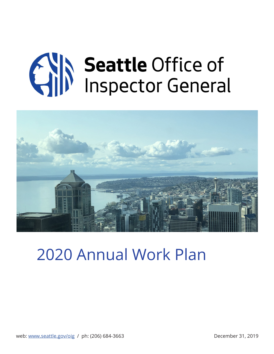# **CAIN Seattle Office of**



# 2020 Annual Work Plan

web: [www.seattle.gov/oig](http://www.seattle.gov/oig) / ph: (206) 684-3663 December 31, 2019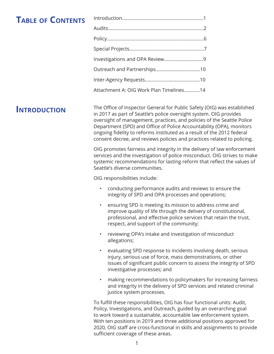# **Table of Contents**

| Attachment A: OIG Work Plan Timelines14 |  |
|-----------------------------------------|--|

# **Introduction**

The Office of Inspector General for Public Safety (OIG) was established in 2017 as part of Seattle's police oversight system. OIG provides oversight of management, practices, and policies of the Seattle Police Department (SPD) and Office of Police Accountability (OPA), monitors ongoing fidelity to reforms instituted as a result of the 2012 federal consent decree, and reviews policies and practices related to policing.

OIG promotes fairness and integrity in the delivery of law enforcement services and the investigation of police misconduct. OIG strives to make systemic recommendations for lasting reform that reflect the values of Seattle's diverse communities.

OIG responsibilities include:

- conducting performance audits and reviews to ensure the integrity of SPD and OPA processes and operations;
- ensuring SPD is meeting its mission to address crime and improve quality of life through the delivery of constitutional, professional, and effective police services that retain the trust, respect, and support of the community;
- reviewing OPA's intake and investigation of misconduct allegations;
- evaluating SPD response to incidents involving death, serious injury, serious use of force, mass demonstrations, or other issues of significant public concern to assess the integrity of SPD investigative processes; and
- making recommendations to policymakers for increasing fairness and integrity in the delivery of SPD services and related criminal justice system processes.

To fulfill these responsibilities, OIG has four functional units: Audit, Policy, Investigations, and Outreach, guided by an overarching goal to work toward a sustainable, accountable law enforcement system. With ten positions in 2019 and three additional positions approved for 2020, OIG staff are cross-functional in skills and assignments to provide sufficient coverage of these areas.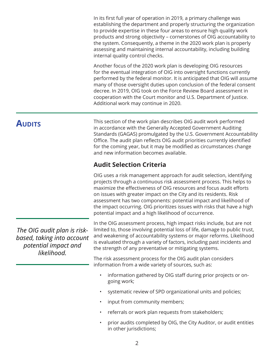<span id="page-2-0"></span>In its first full year of operation in 2019, a primary challenge was establishing the department and properly structuring the organization to provide expertise in these four areas to ensure high quality work products and strong objectivity – cornerstones of OIG accountability to the system. Consequently, a theme in the 2020 work plan is properly assessing and maintaining internal accountability, including building internal quality control checks.

Another focus of the 2020 work plan is developing OIG resources for the eventual integration of OIG into oversight functions currently performed by the federal monitor. It is anticipated that OIG will assume many of those oversight duties upon conclusion of the federal consent decree. In 2019, OIG took on the Force Review Board assessment in cooperation with the Court monitor and U.S. Department of Justice. Additional work may continue in 2020.

# **AUDITS**

This section of the work plan describes OIG audit work performed in accordance with the Generally Accepted Government Auditing Standards (GAGAS) promulgated by the U.S. Government Accountability Office. The audit plan reflects OIG audit priorities currently identified for the coming year, but it may be modified as circumstances change and new information becomes available.

# **Audit Selection Criteria**

OIG uses a risk management approach for audit selection, identifying projects through a continuous risk assessment process. This helps to maximize the effectiveness of OIG resources and focus audit efforts on issues with greater impact on the City and its residents. Risk assessment has two components: potential impact and likelihood of the impact occurring. OIG prioritizes issues with risks that have a high potential impact and a high likelihood of occurrence.

*The OIG audit plan is riskbased, taking into account potential impact and likelihood.* 

In the OIG assessment process, high impact risks include, but are not limited to, those involving potential loss of life, damage to public trust, and weakening of accountability systems or major reforms. Likelihood is evaluated through a variety of factors, including past incidents and the strength of any preventative or mitigating systems.

The risk assessment process for the OIG audit plan considers information from a wide variety of sources, such as:

- information gathered by OIG staff during prior projects or ongoing work;
- systematic review of SPD organizational units and policies;
- input from community members;
- referrals or work plan requests from stakeholders;
- prior audits completed by OIG, the City Auditor, or audit entities in other jurisdictions;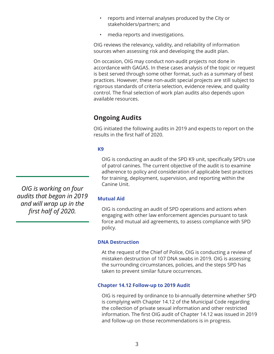- reports and internal analyses produced by the City or stakeholders/partners; and
- media reports and investigations.

OIG reviews the relevancy, validity, and reliability of information sources when assessing risk and developing the audit plan.

On occasion, OIG may conduct non-audit projects not done in accordance with GAGAS. In these cases analysis of the topic or request is best served through some other format, such as a summary of best practices. However, these non-audit special projects are still subject to rigorous standards of criteria selection, evidence review, and quality control. The final selection of work plan audits also depends upon available resources.

# **Ongoing Audits**

OIG initiated the following audits in 2019 and expects to report on the results in the first half of 2020.

### **K9**

OIG is conducting an audit of the SPD K9 unit, specifically SPD's use of patrol canines. The current objective of the audit is to examine adherence to policy and consideration of applicable best practices for training, deployment, supervision, and reporting within the Canine Unit.

*OIG is working on four audits that began in 2019 and will wrap up in the first half of 2020.*

### **Mutual Aid**

OIG is conducting an audit of SPD operations and actions when engaging with other law enforcement agencies pursuant to task force and mutual aid agreements, to assess compliance with SPD policy.

### **DNA Destruction**

At the request of the Chief of Police, OIG is conducting a review of mistaken destruction of 107 DNA swabs in 2019. OIG is assessing the surrounding circumstances, policies, and the steps SPD has taken to prevent similar future occurrences.

### **Chapter 14.12 Follow-up to 2019 Audit**

OIG is required by ordinance to bi-annually determine whether SPD is complying with Chapter 14.12 of the Municipal Code regarding the collection of private sexual information and other restricted information. The first OIG audit of Chapter 14.12 was issued in 2019 and follow-up on those recommendations is in progress.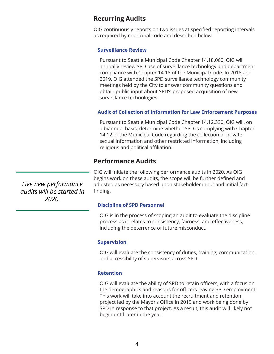### **Recurring Audits**

OIG continuously reports on two issues at specified reporting intervals as required by municipal code and described below.

### **Surveillance Review**

Pursuant to Seattle Municipal Code Chapter 14.18.060, OIG will annually review SPD use of surveillance technology and department compliance with Chapter 14.18 of the Municipal Code. In 2018 and 2019, OIG attended the SPD surveillance technology community meetings held by the City to answer community questions and obtain public input about SPD's proposed acquisition of new surveillance technologies.

### **Audit of Collection of Information for Law Enforcement Purposes**

Pursuant to Seattle Municipal Code Chapter 14.12.330, OIG will, on a biannual basis, determine whether SPD is complying with Chapter 14.12 of the Municipal Code regarding the collection of private sexual information and other restricted information, including religious and political affiliation.

### **Performance Audits**

OIG will initiate the following performance audits in 2020. As OIG begins work on these audits, the scope will be further defined and adjusted as necessary based upon stakeholder input and initial factfinding.

### **Discipline of SPD Personnel**

OIG is in the process of scoping an audit to evaluate the discipline process as it relates to consistency, fairness, and effectiveness, including the deterrence of future misconduct.

### **Supervision**

OIG will evaluate the consistency of duties, training, communication, and accessibility of supervisors across SPD.

### **Retention**

OIG will evaluate the ability of SPD to retain officers, with a focus on the demographics and reasons for officers leaving SPD employment. This work will take into account the recruitment and retention project led by the Mayor's Office in 2019 and work being done by SPD in response to that project. As a result, this audit will likely not begin until later in the year.

*Five new performance audits will be started in 2020.*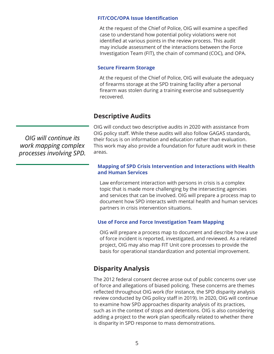### **FIT/COC/OPA Issue Identification**

At the request of the Chief of Police, OIG will examine a specified case to understand how potential policy violations were not identified at various points in the review process. This audit may include assessment of the interactions between the Force Investigation Team (FIT), the chain of command (COC), and OPA.

### **Secure Firearm Storage**

At the request of the Chief of Police, OIG will evaluate the adequacy of firearms storage at the SPD training facility after a personal firearm was stolen during a training exercise and subsequently recovered.

### **Descriptive Audits**

OIG will conduct two descriptive audits in 2020 with assistance from OIG policy staff. While these audits will also follow GAGAS standards, their focus is on information and education rather than evaluation. This work may also provide a foundation for future audit work in these areas.

### **Mapping of SPD Crisis Intervention and Interactions with Health and Human Services**

Law enforcement interaction with persons in crisis is a complex topic that is made more challenging by the intersecting agencies and services that can be involved. OIG will prepare a process map to document how SPD interacts with mental health and human services partners in crisis intervention situations.

### **Use of Force and Force Investigation Team Mapping**

OIG will prepare a process map to document and describe how a use of force incident is reported, investigated, and reviewed. As a related project, OIG may also map FIT Unit core processes to provide the basis for operational standardization and potential improvement.

### **Disparity Analysis**

The 2012 federal consent decree arose out of public concerns over use of force and allegations of biased policing. These concerns are themes reflected throughout OIG work (for instance, the SPD disparity analysis review conducted by OIG policy staff in 2019). In 2020, OIG will continue to examine how SPD approaches disparity analysis of its practices, such as in the context of stops and detentions. OIG is also considering adding a project to the work plan specifically related to whether there is disparity in SPD response to mass demonstrations.

*OIG will continue its work mapping complex processes involving SPD.*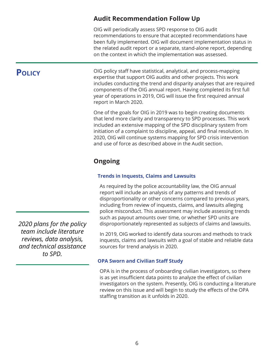## **Audit Recommendation Follow Up**

OIG will periodically assess SPD response to OIG audit recommendations to ensure that accepted recommendations have been fully implemented. OIG will document implementation status in the related audit report or a separate, stand-alone report, depending on the context in which the implementation was assessed.

# <span id="page-6-0"></span>**Policy**

OIG policy staff have statistical, analytical, and process-mapping expertise that support OIG audits and other projects. This work includes conducting the trend and disparity analyses that are required components of the OIG annual report. Having completed its first full year of operations in 2019, OIG will issue the first required annual report in March 2020.

One of the goals for OIG in 2019 was to begin creating documents that lend more clarity and transparency to SPD processes. This work included an extensive mapping of the SPD disciplinary system from initiation of a complaint to discipline, appeal, and final resolution. In 2020, OIG will continue systems mapping for SPD crisis intervention and use of force as described above in the Audit section.

# **Ongoing**

### **Trends in Inquests, Claims and Lawsuits**

As required by the police accountability law, the OIG annual report will include an analysis of any patterns and trends of disproportionality or other concerns compared to previous years, including from review of inquests, claims, and lawsuits alleging police misconduct. This assessment may include assessing trends such as payout amounts over time, or whether SPD units are disproportionately represented as subjects of claims and lawsuits.

In 2019, OIG worked to identify data sources and methods to track inquests, claims and lawsuits with a goal of stable and reliable data sources for trend analysis in 2020.

### **OPA Sworn and Civilian Staff Study**

OPA is in the process of onboarding civilian investigators, so there is as yet insufficient data points to analyze the effect of civilian investigators on the system. Presently, OIG is conducting a literature review on this issue and will begin to study the effects of the OPA staffing transition as it unfolds in 2020.

*2020 plans for the policy team include literature reviews, data analysis, and technical assistance to SPD.*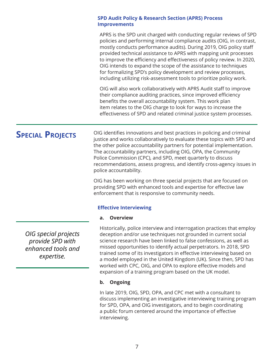### <span id="page-7-0"></span>**SPD Audit Policy & Research Section (APRS) Process Improvements**

APRS is the SPD unit charged with conducting regular reviews of SPD policies and performing internal compliance audits (OIG, in contrast, mostly conducts performance audits). During 2019, OIG policy staff provided technical assistance to APRS with mapping unit processes to improve the efficiency and effectiveness of policy review. In 2020, OIG intends to expand the scope of the assistance to techniques for formalizing SPD's policy development and review processes, including utilizing risk-assessment tools to prioritize policy work.

OIG will also work collaboratively with APRS Audit staff to improve their compliance auditing practices, since improved efficiency benefits the overall accountability system. This work plan item relates to the OIG charge to look for ways to increase the effectiveness of SPD and related criminal justice system processes.

# **Special Projects**

OIG identifies innovations and best practices in policing and criminal justice and works collaboratively to evaluate these topics with SPD and the other police accountability partners for potential implementation. The accountability partners, including OIG, OPA, the Community Police Commission (CPC), and SPD, meet quarterly to discuss recommendations, assess progress, and identify cross-agency issues in police accountability.

OIG has been working on three special projects that are focused on providing SPD with enhanced tools and expertise for effective law enforcement that is responsive to community needs.

### **Effective Interviewing**

### **a. Overview**

Historically, police interview and interrogation practices that employ deception and/or use techniques not grounded in current social science research have been linked to false confessions, as well as missed opportunities to identify actual perpetrators. In 2018, SPD trained some of its investigators in effective interviewing based on a model employed in the United Kingdom (UK). Since then, SPD has worked with CPC, OIG, and OPA to explore effective models and expansion of a training program based on the UK model.

### **b. Ongoing**

In late 2019, OIG, SPD, OPA, and CPC met with a consultant to discuss implementing an investigative interviewing training program for SPD, OPA, and OIG investigators, and to begin coordinating a public forum centered around the importance of effective interviewing.

*OIG special projects provide SPD with enhanced tools and expertise.*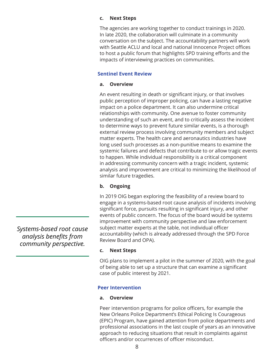### **c. Next Steps**

The agencies are working together to conduct trainings in 2020. In late 2020, the collaboration will culminate in a community conversation on the subject. The accountability partners will work with Seattle ACLU and local and national Innocence Project offices to host a public forum that highlights SPD training efforts and the impacts of interviewing practices on communities.

### **Sentinel Event Review**

### **a. Overview**

An event resulting in death or significant injury, or that involves public perception of improper policing, can have a lasting negative impact on a police department. It can also undermine critical relationships with community. One avenue to foster community understanding of such an event, and to critically assess the incident to determine ways to prevent future similar events, is a thorough external review process involving community members and subject matter experts. The health care and aeronautics industries have long used such processes as a non-punitive means to examine the systemic failures and defects that contribute to or allow tragic events to happen. While individual responsibility is a critical component in addressing community concern with a tragic incident, systemic analysis and improvement are critical to minimizing the likelihood of similar future tragedies.

### **b. Ongoing**

In 2019 OIG began exploring the feasibility of a review board to engage in a systems-based root cause analysis of incidents involving significant force, pursuits resulting in significant injury, and other events of public concern. The focus of the board would be systems improvement with community perspective and law enforcement subject matter experts at the table, not individual officer accountability (which is already addressed through the SPD Force Review Board and OPA).

### **c. Next Steps**

OIG plans to implement a pilot in the summer of 2020, with the goal of being able to set up a structure that can examine a significant case of public interest by 2021.

### **Peer Intervention**

### **a. Overview**

Peer intervention programs for police officers, for example the New Orleans Police Department's Ethical Policing Is Courageous (EPIC) Program, have gained attention from police departments and professional associations in the last couple of years as an innovative approach to reducing situations that result in complaints against officers and/or occurrences of officer misconduct.

*Systems-based root cause analysis benefits from community perspective.*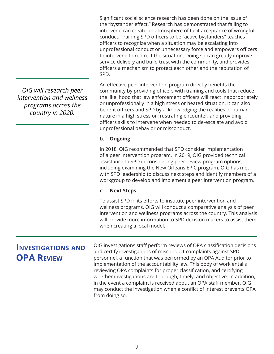Significant social science research has been done on the issue of the "bystander effect." Research has demonstrated that failing to intervene can create an atmosphere of tacit acceptance of wrongful conduct. Training SPD officers to be "active bystanders" teaches officers to recognize when a situation may be escalating into unprofessional conduct or unnecessary force and empowers officers to intervene to redirect the situation. Doing so can greatly improve service delivery and build trust with the community, and provides officers a mechanism to protect each other and the reputation of SPD.

An effective peer intervention program directly benefits the community by providing officers with training and tools that reduce the likelihood that law enforcement officers will react inappropriately or unprofessionally in a high stress or heated situation. It can also benefit officers and SPD by acknowledging the realities of human nature in a high stress or frustrating encounter, and providing officers skills to intervene when needed to de-escalate and avoid unprofessional behavior or misconduct.

### **b. Ongoing**

In 2018, OIG recommended that SPD consider implementation of a peer intervention program. In 2019, OIG provided technical assistance to SPD in considering peer review program options, including examining the New Orleans EPIC program. OIG has met with SPD leadership to discuss next steps and identify members of a workgroup to develop and implement a peer intervention program.

### **c. Next Steps**

To assist SPD in its efforts to institute peer intervention and wellness programs, OIG will conduct a comparative analysis of peer intervention and wellness programs across the country. This analysis will provide more information to SPD decision makers to assist them when creating a local model.

# **Investigations and OPA Review**

OIG investigations staff perform reviews of OPA classification decisions and certify investigations of misconduct complaints against SPD personnel, a function that was performed by an OPA Auditor prior to implementation of the accountability law. This body of work entails reviewing OPA complaints for proper classification, and certifying whether investigations are thorough, timely, and objective. In addition, in the event a complaint is received about an OPA staff member, OIG may conduct the investigation when a conflict of interest prevents OPA from doing so.

<span id="page-9-0"></span>*OIG will research peer intervention and wellness programs across the country in 2020.*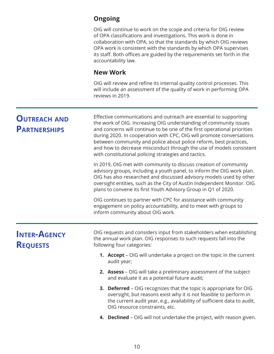# <span id="page-10-0"></span>**Ongoing**

OIG will continue to work on the scope and criteria for OIG review of OPA classifications and investigations. This work is done in collaboration with OPA, so that the standards by which OIG reviews OPA work is consistent with the standards by which OPA supervises its staff. Both offices are guided by the requirements set forth in the accountability law.

### **New Work**

OIG will review and refine its internal quality control processes. This will include an assessment of the quality of work in performing OPA reviews in 2019.

| <b>OUTREACH AND</b><br><b>PARTNERSHIPS</b> | Effective communications and outreach are essential to supporting<br>the work of OIG. Increasing OIG understanding of community issues<br>and concerns will continue to be one of the first operational priorities<br>during 2020. In cooperation with CPC, OIG will promote conversations<br>between community and police about police reform, best practices,<br>and how to decrease misconduct through the use of models consistent<br>with constitutional policing strategies and tactics. |  |  |  |
|--------------------------------------------|------------------------------------------------------------------------------------------------------------------------------------------------------------------------------------------------------------------------------------------------------------------------------------------------------------------------------------------------------------------------------------------------------------------------------------------------------------------------------------------------|--|--|--|
|                                            | In 2019, OIG met with community to discuss creation of community<br>advisory groups, including a youth panel, to inform the OIG work plan.<br>OIG has also researched and discussed advisory models used by other<br>oversight entities, such as the City of Austin Independent Monitor. OIG<br>plans to convene its first Youth Advisory Group in Q1 of 2020.                                                                                                                                 |  |  |  |
|                                            | OIG continues to partner with CPC for assistance with community<br>engagement on policy accountability, and to meet with groups to<br>inform community about OIG work.                                                                                                                                                                                                                                                                                                                         |  |  |  |
| <b>INTER-AGENCY</b><br><b>REQUESTS</b>     | OIG requests and considers input from stakeholders when establishing<br>the annual work plan. OIG responses to such requests fall into the<br>following four categories:                                                                                                                                                                                                                                                                                                                       |  |  |  |
|                                            | 1. Accept - OIG will undertake a project on the topic in the current<br>audit year;                                                                                                                                                                                                                                                                                                                                                                                                            |  |  |  |
|                                            | 2. Assess - OIG will take a preliminary assessment of the subject<br>and evaluate it as a potential future audit;                                                                                                                                                                                                                                                                                                                                                                              |  |  |  |
|                                            | 3. Deferred - OIG recognizes that the topic is appropriate for OIG<br>oversight, but reasons exist why it is not feasible to perform in<br>the current audit year, e.g., availability of sufficient data to audit,<br>OIG resource constraints, etc.                                                                                                                                                                                                                                           |  |  |  |
|                                            | 4. Declined - OIG will not undertake the project, with reason given.                                                                                                                                                                                                                                                                                                                                                                                                                           |  |  |  |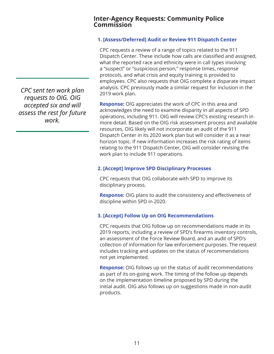### **Inter-Agency Requests: Community Police Commission**

### **1. [Assess/Deferred] Audit or Review 911 Dispatch Center**

CPC requests a review of a range of topics related to the 911 Dispatch Center. These include how calls are classified and assigned, what the reported race and ethnicity were in call types involving a "suspect" or "suspicious person," response times, response protocols, and what crisis and equity training is provided to employees. CPC also requests that OIG complete a disparate impact analysis. CPC previously made a similar request for inclusion in the 2019 work plan.

**Response:** OIG appreciates the work of CPC in this area and acknowledges the need to examine disparity in all aspects of SPD operations, including 911. OIG will review CPC's existing research in more detail. Based on the OIG risk assessment process and available resources, OIG likely will not incorporate an audit of the 911 Dispatch Center in its 2020 work plan but will consider it as a near horizon topic. If new information increases the risk rating of items relating to the 911 Dispatch Center, OIG will consider revising the work plan to include 911 operations.

### **2. [Accept] Improve SPD Disciplinary Processes**

CPC requests that OIG collaborate with SPD to improve its disciplinary process.

**Response:** OIG plans to audit the consistency and effectiveness of discipline within SPD in 2020.

### **3. [Accept] Follow Up on OIG Recommendations**

CPC requests that OIG follow up on recommendations made in its 2019 reports, including a review of SPD's firearms inventory controls, an assessment of the Force Review Board, and an audit of SPD's collection of information for law enforcement purposes. The request includes tracking and updates on the status of recommendations not yet implemented.

**Response:** OIG follows up on the status of audit recommendations as part of its on-going work. The timing of the follow up depends on the implementation timeline proposed by SPD during the initial audit. OIG also follows up on suggestions made in non-audit products.

*CPC sent ten work plan requests to OIG. OIG accepted six and will assess the rest for future work.*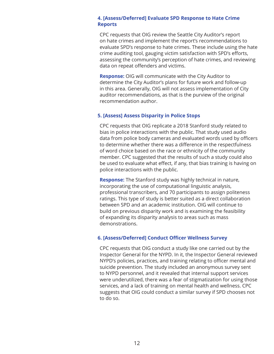### **4. [Assess/Deferred] Evaluate SPD Response to Hate Crime Reports**

CPC requests that OIG review the Seattle City Auditor's report on hate crimes and implement the report's recommendations to evaluate SPD's response to hate crimes. These include using the hate crime auditing tool, gauging victim satisfaction with SPD's efforts, assessing the community's perception of hate crimes, and reviewing data on repeat offenders and victims.

**Response:** OIG will communicate with the City Auditor to determine the City Auditor's plans for future work and follow-up in this area. Generally, OIG will not assess implementation of City auditor recommendations, as that is the purview of the original recommendation author.

### **5. [Assess] Assess Disparity in Police Stops**

CPC requests that OIG replicate a 2018 Stanford study related to bias in police interactions with the public. That study used audio data from police body cameras and evaluated words used by officers to determine whether there was a difference in the respectfulness of word choice based on the race or ethnicity of the community member. CPC suggested that the results of such a study could also be used to evaluate what effect, if any, that bias training is having on police interactions with the public.

**Response:** The Stanford study was highly technical in nature, incorporating the use of computational linguistic analysis, professional transcribers, and 70 participants to assign politeness ratings. This type of study is better suited as a direct collaboration between SPD and an academic institution. OIG will continue to build on previous disparity work and is examining the feasibility of expanding its disparity analysis to areas such as mass demonstrations.

### **6. [Assess/Deferred] Conduct Officer Wellness Survey**

CPC requests that OIG conduct a study like one carried out by the Inspector General for the NYPD. In it, the Inspector General reviewed NYPD's policies, practices, and training relating to officer mental and suicide prevention. The study included an anonymous survey sent to NYPD personnel, and it revealed that internal support services were underutilized, there was a fear of stigmatization for using those services, and a lack of training on mental health and wellness. CPC suggests that OIG could conduct a similar survey if SPD chooses not to do so.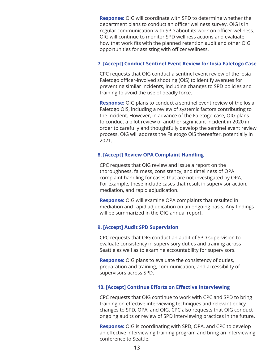**Response:** OIG will coordinate with SPD to determine whether the department plans to conduct an officer wellness survey. OIG is in regular communication with SPD about its work on officer wellness. OIG will continue to monitor SPD wellness actions and evaluate how that work fits with the planned retention audit and other OIG opportunities for assisting with officer wellness.

### **7. [Accept] Conduct Sentinel Event Review for Iosia Faletogo Case**

CPC requests that OIG conduct a sentinel event review of the Iosia Faletogo officer-involved shooting (OIS) to identify avenues for preventing similar incidents, including changes to SPD policies and training to avoid the use of deadly force.

**Response:** OIG plans to conduct a sentinel event review of the Iosia Faletogo OIS, including a review of systemic factors contributing to the incident. However, in advance of the Faletogo case, OIG plans to conduct a pilot review of another significant incident in 2020 in order to carefully and thoughtfully develop the sentinel event review process. OIG will address the Faletogo OIS thereafter, potentially in 2021.

### **8. [Accept] Review OPA Complaint Handling**

CPC requests that OIG review and issue a report on the thoroughness, fairness, consistency, and timeliness of OPA complaint handling for cases that are not investigated by OPA. For example, these include cases that result in supervisor action, mediation, and rapid adjudication.

**Response:** OIG will examine OPA complaints that resulted in mediation and rapid adjudication on an ongoing basis. Any findings will be summarized in the OIG annual report.

### **9. [Accept] Audit SPD Supervision**

CPC requests that OIG conduct an audit of SPD supervision to evaluate consistency in supervisory duties and training across Seattle as well as to examine accountability for supervisors.

**Response:** OIG plans to evaluate the consistency of duties, preparation and training, communication, and accessibility of supervisors across SPD.

### **10. [Accept] Continue Efforts on Effective Interviewing**

CPC requests that OIG continue to work with CPC and SPD to bring training on effective interviewing techniques and relevant policy changes to SPD, OPA, and OIG. CPC also requests that OIG conduct ongoing audits or review of SPD interviewing practices in the future.

**Response:** OIG is coordinating with SPD, OPA, and CPC to develop an effective interviewing training program and bring an interviewing conference to Seattle.